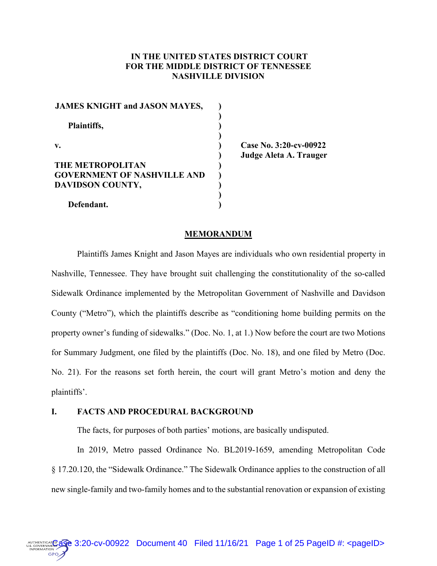# **IN THE UNITED STATES DISTRICT COURT FOR THE MIDDLE DISTRICT OF TENNESSEE NASHVILLE DIVISION**

| <b>JAMES KNIGHT and JASON MAYES,</b> |  |
|--------------------------------------|--|
| Plaintiffs,                          |  |
| v.                                   |  |
| <b>THE METROPOLITAN</b>              |  |
| <b>GOVERNMENT OF NASHVILLE AND</b>   |  |
| DAVIDSON COUNTY,                     |  |
| Defendant.                           |  |

**Case No. 3:20-cv-00922 Judge Aleta A. Trauger**

#### **MEMORANDUM**

Plaintiffs James Knight and Jason Mayes are individuals who own residential property in Nashville, Tennessee. They have brought suit challenging the constitutionality of the so-called Sidewalk Ordinance implemented by the Metropolitan Government of Nashville and Davidson County ("Metro"), which the plaintiffs describe as "conditioning home building permits on the property owner's funding of sidewalks." (Doc. No. 1, at 1.) Now before the court are two Motions for Summary Judgment, one filed by the plaintiffs (Doc. No. 18), and one filed by Metro (Doc. No. 21). For the reasons set forth herein, the court will grant Metro's motion and deny the plaintiffs'.

## **I. FACTS AND PROCEDURAL BACKGROUND**

**GPO** 

The facts, for purposes of both parties' motions, are basically undisputed.

In 2019, Metro passed Ordinance No. BL2019-1659, amending Metropolitan Code § 17.20.120, the "Sidewalk Ordinance." The Sidewalk Ordinance applies to the construction of all new single-family and two-family homes and to the substantial renovation or expansion of existing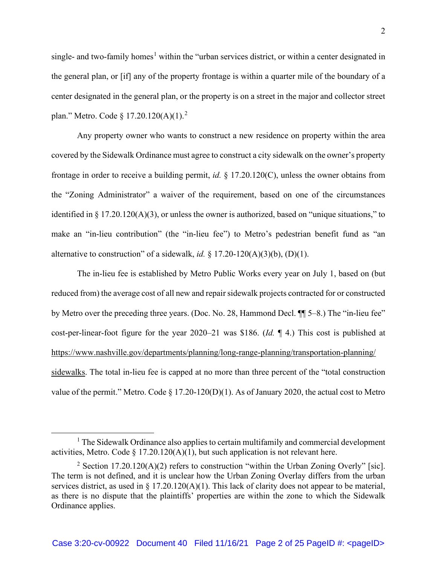single- and two-family homes<sup>1</sup> within the "urban services district, or within a center designated in the general plan, or [if] any of the property frontage is within a quarter mile of the boundary of a center designated in the general plan, or the property is on a street in the major and collector street plan." Metro. Code  $\S 17.20.120(A)(1)$ .<sup>2</sup>

Any property owner who wants to construct a new residence on property within the area covered by the Sidewalk Ordinance must agree to construct a city sidewalk on the owner's property frontage in order to receive a building permit, *id.* § 17.20.120(C), unless the owner obtains from the "Zoning Administrator" a waiver of the requirement, based on one of the circumstances identified in § 17.20.120(A)(3), or unless the owner is authorized, based on "unique situations," to make an "in-lieu contribution" (the "in-lieu fee") to Metro's pedestrian benefit fund as "an alternative to construction" of a sidewalk, *id.*  $\S$  17.20-120(A)(3)(b), (D)(1).

The in-lieu fee is established by Metro Public Works every year on July 1, based on (but reduced from) the average cost of all new and repair sidewalk projects contracted for or constructed by Metro over the preceding three years. (Doc. No. 28, Hammond Decl. ¶¶ 5–8.) The "in-lieu fee" cost-per-linear-foot figure for the year 2020–21 was \$186. (*Id.* ¶ 4.) This cost is published at https://www.nashville.gov/departments/planning/long-range-planning/transportation-planning/ sidewalks. The total in-lieu fee is capped at no more than three percent of the "total construction value of the permit." Metro. Code  $\S 17.20-120(D)(1)$ . As of January 2020, the actual cost to Metro

 $<sup>1</sup>$  The Sidewalk Ordinance also applies to certain multifamily and commercial development</sup> activities, Metro. Code  $\S 17.20.120(A)(1)$ , but such application is not relevant here.

<sup>&</sup>lt;sup>2</sup> Section 17.20.120(A)(2) refers to construction "within the Urban Zoning Overly" [sic]. The term is not defined, and it is unclear how the Urban Zoning Overlay differs from the urban services district, as used in § 17.20.120(A)(1). This lack of clarity does not appear to be material, as there is no dispute that the plaintiffs' properties are within the zone to which the Sidewalk Ordinance applies.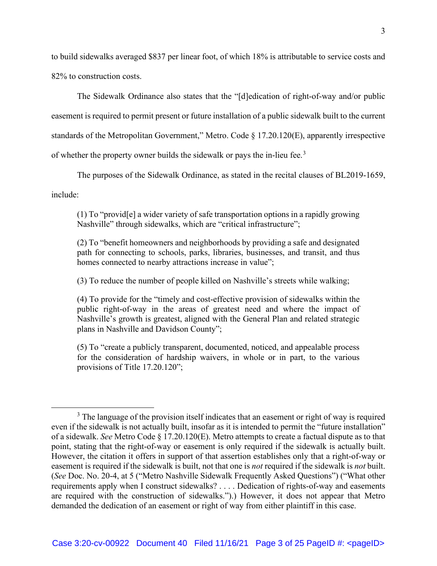to build sidewalks averaged \$837 per linear foot, of which 18% is attributable to service costs and 82% to construction costs.

The Sidewalk Ordinance also states that the "[d]edication of right-of-way and/or public easement is required to permit present or future installation of a public sidewalk built to the current standards of the Metropolitan Government," Metro. Code § 17.20.120(E), apparently irrespective of whether the property owner builds the sidewalk or pays the in-lieu fee.<sup>3</sup>

The purposes of the Sidewalk Ordinance, as stated in the recital clauses of BL2019-1659,

include:

(1) To "provid[e] a wider variety of safe transportation options in a rapidly growing Nashville" through sidewalks, which are "critical infrastructure";

(2) To "benefit homeowners and neighborhoods by providing a safe and designated path for connecting to schools, parks, libraries, businesses, and transit, and thus homes connected to nearby attractions increase in value";

(3) To reduce the number of people killed on Nashville's streets while walking;

(4) To provide for the "timely and cost-effective provision of sidewalks within the public right-of-way in the areas of greatest need and where the impact of Nashville's growth is greatest, aligned with the General Plan and related strategic plans in Nashville and Davidson County";

(5) To "create a publicly transparent, documented, noticed, and appealable process for the consideration of hardship waivers, in whole or in part, to the various provisions of Title 17.20.120";

<sup>&</sup>lt;sup>3</sup> The language of the provision itself indicates that an easement or right of way is required even if the sidewalk is not actually built, insofar as it is intended to permit the "future installation" of a sidewalk. *See* Metro Code § 17.20.120(E). Metro attempts to create a factual dispute as to that point, stating that the right-of-way or easement is only required if the sidewalk is actually built. However, the citation it offers in support of that assertion establishes only that a right-of-way or easement is required if the sidewalk is built, not that one is *not* required if the sidewalk is *not* built. (*See* Doc. No. 20-4, at 5 ("Metro Nashville Sidewalk Frequently Asked Questions") ("What other requirements apply when I construct sidewalks? . . . . Dedication of rights-of-way and easements are required with the construction of sidewalks.").) However, it does not appear that Metro demanded the dedication of an easement or right of way from either plaintiff in this case.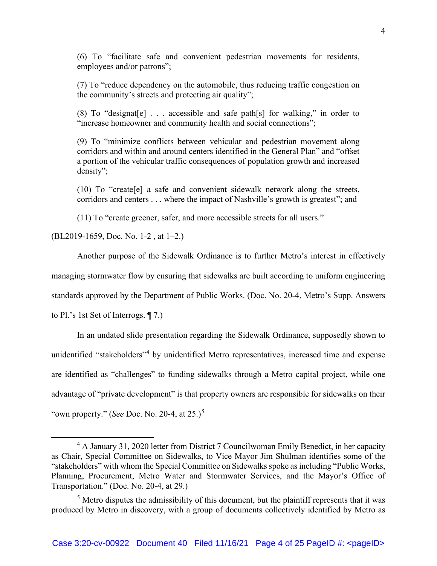(6) To "facilitate safe and convenient pedestrian movements for residents, employees and/or patrons";

(7) To "reduce dependency on the automobile, thus reducing traffic congestion on the community's streets and protecting air quality";

(8) To "designat [e]  $\ldots$  accessible and safe path [s] for walking," in order to "increase homeowner and community health and social connections";

(9) To "minimize conflicts between vehicular and pedestrian movement along corridors and within and around centers identified in the General Plan" and "offset a portion of the vehicular traffic consequences of population growth and increased density";

(10) To "create[e] a safe and convenient sidewalk network along the streets, corridors and centers . . . where the impact of Nashville's growth is greatest"; and

(11) To "create greener, safer, and more accessible streets for all users."

(BL2019-1659, Doc. No. 1-2 , at 1–2.)

Another purpose of the Sidewalk Ordinance is to further Metro's interest in effectively managing stormwater flow by ensuring that sidewalks are built according to uniform engineering standards approved by the Department of Public Works. (Doc. No. 20-4, Metro's Supp. Answers to Pl.'s 1st Set of Interrogs. ¶ 7.)

In an undated slide presentation regarding the Sidewalk Ordinance, supposedly shown to unidentified "stakeholders"<sup>4</sup> by unidentified Metro representatives, increased time and expense are identified as "challenges" to funding sidewalks through a Metro capital project, while one advantage of "private development" is that property owners are responsible for sidewalks on their "own property." (*See* Doc. No. 20-4, at 25.)<sup>5</sup>

<sup>&</sup>lt;sup>4</sup> A January 31, 2020 letter from District 7 Councilwoman Emily Benedict, in her capacity as Chair, Special Committee on Sidewalks, to Vice Mayor Jim Shulman identifies some of the "stakeholders" with whom the Special Committee on Sidewalks spoke as including "Public Works, Planning, Procurement, Metro Water and Stormwater Services, and the Mayor's Office of Transportation." (Doc. No. 20-4, at 29.)

 $<sup>5</sup>$  Metro disputes the admissibility of this document, but the plaintiff represents that it was</sup> produced by Metro in discovery, with a group of documents collectively identified by Metro as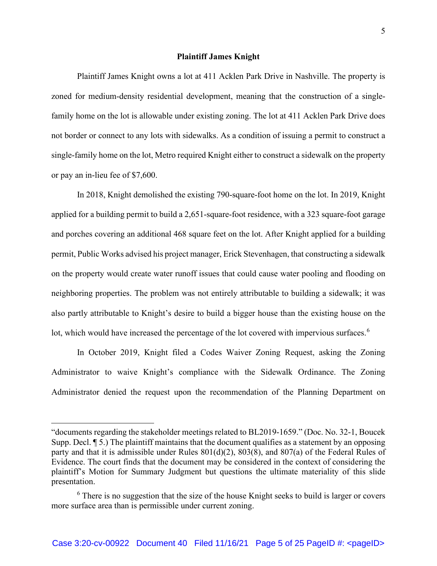### **Plaintiff James Knight**

Plaintiff James Knight owns a lot at 411 Acklen Park Drive in Nashville. The property is zoned for medium-density residential development, meaning that the construction of a singlefamily home on the lot is allowable under existing zoning. The lot at 411 Acklen Park Drive does not border or connect to any lots with sidewalks. As a condition of issuing a permit to construct a single-family home on the lot, Metro required Knight either to construct a sidewalk on the property or pay an in-lieu fee of \$7,600.

In 2018, Knight demolished the existing 790-square-foot home on the lot. In 2019, Knight applied for a building permit to build a 2,651-square-foot residence, with a 323 square-foot garage and porches covering an additional 468 square feet on the lot. After Knight applied for a building permit, Public Works advised his project manager, Erick Stevenhagen, that constructing a sidewalk on the property would create water runoff issues that could cause water pooling and flooding on neighboring properties. The problem was not entirely attributable to building a sidewalk; it was also partly attributable to Knight's desire to build a bigger house than the existing house on the lot, which would have increased the percentage of the lot covered with impervious surfaces.<sup>6</sup>

In October 2019, Knight filed a Codes Waiver Zoning Request, asking the Zoning Administrator to waive Knight's compliance with the Sidewalk Ordinance. The Zoning Administrator denied the request upon the recommendation of the Planning Department on

<sup>&</sup>quot;documents regarding the stakeholder meetings related to BL2019-1659." (Doc. No. 32-1, Boucek Supp. Decl. ¶ 5.) The plaintiff maintains that the document qualifies as a statement by an opposing party and that it is admissible under Rules 801(d)(2), 803(8), and 807(a) of the Federal Rules of Evidence. The court finds that the document may be considered in the context of considering the plaintiff's Motion for Summary Judgment but questions the ultimate materiality of this slide presentation.

 $6$  There is no suggestion that the size of the house Knight seeks to build is larger or covers more surface area than is permissible under current zoning.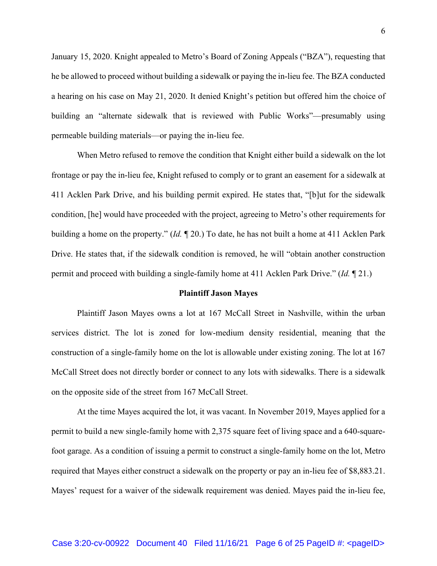January 15, 2020. Knight appealed to Metro's Board of Zoning Appeals ("BZA"), requesting that he be allowed to proceed without building a sidewalk or paying the in-lieu fee. The BZA conducted a hearing on his case on May 21, 2020. It denied Knight's petition but offered him the choice of building an "alternate sidewalk that is reviewed with Public Works"—presumably using permeable building materials—or paying the in-lieu fee.

When Metro refused to remove the condition that Knight either build a sidewalk on the lot frontage or pay the in-lieu fee, Knight refused to comply or to grant an easement for a sidewalk at 411 Acklen Park Drive, and his building permit expired. He states that, "[b]ut for the sidewalk condition, [he] would have proceeded with the project, agreeing to Metro's other requirements for building a home on the property." (*Id.* ¶ 20.) To date, he has not built a home at 411 Acklen Park Drive. He states that, if the sidewalk condition is removed, he will "obtain another construction permit and proceed with building a single-family home at 411 Acklen Park Drive." (*Id.* ¶ 21.)

#### **Plaintiff Jason Mayes**

Plaintiff Jason Mayes owns a lot at 167 McCall Street in Nashville, within the urban services district. The lot is zoned for low-medium density residential, meaning that the construction of a single-family home on the lot is allowable under existing zoning. The lot at 167 McCall Street does not directly border or connect to any lots with sidewalks. There is a sidewalk on the opposite side of the street from 167 McCall Street.

At the time Mayes acquired the lot, it was vacant. In November 2019, Mayes applied for a permit to build a new single-family home with 2,375 square feet of living space and a 640-squarefoot garage. As a condition of issuing a permit to construct a single-family home on the lot, Metro required that Mayes either construct a sidewalk on the property or pay an in-lieu fee of \$8,883.21. Mayes' request for a waiver of the sidewalk requirement was denied. Mayes paid the in-lieu fee,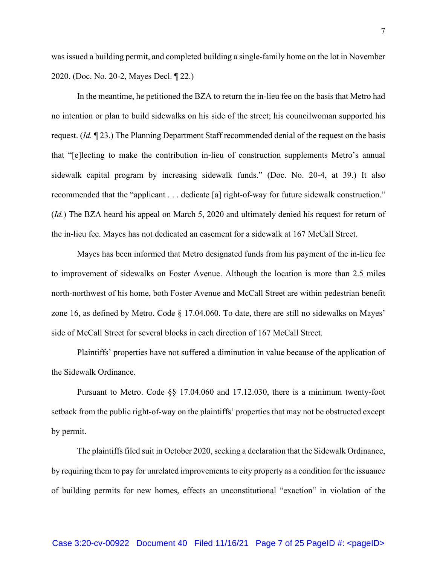was issued a building permit, and completed building a single-family home on the lot in November 2020. (Doc. No. 20-2, Mayes Decl. ¶ 22.)

In the meantime, he petitioned the BZA to return the in-lieu fee on the basis that Metro had no intention or plan to build sidewalks on his side of the street; his councilwoman supported his request. (*Id.* ¶ 23.) The Planning Department Staff recommended denial of the request on the basis that "[e]lecting to make the contribution in-lieu of construction supplements Metro's annual sidewalk capital program by increasing sidewalk funds." (Doc. No. 20-4, at 39.) It also recommended that the "applicant . . . dedicate [a] right-of-way for future sidewalk construction." (*Id.*) The BZA heard his appeal on March 5, 2020 and ultimately denied his request for return of the in-lieu fee. Mayes has not dedicated an easement for a sidewalk at 167 McCall Street.

Mayes has been informed that Metro designated funds from his payment of the in-lieu fee to improvement of sidewalks on Foster Avenue. Although the location is more than 2.5 miles north-northwest of his home, both Foster Avenue and McCall Street are within pedestrian benefit zone 16, as defined by Metro. Code § 17.04.060. To date, there are still no sidewalks on Mayes' side of McCall Street for several blocks in each direction of 167 McCall Street.

Plaintiffs' properties have not suffered a diminution in value because of the application of the Sidewalk Ordinance.

Pursuant to Metro. Code §§ 17.04.060 and 17.12.030, there is a minimum twenty-foot setback from the public right-of-way on the plaintiffs' properties that may not be obstructed except by permit.

The plaintiffs filed suit in October 2020, seeking a declaration that the Sidewalk Ordinance, by requiring them to pay for unrelated improvements to city property as a condition for the issuance of building permits for new homes, effects an unconstitutional "exaction" in violation of the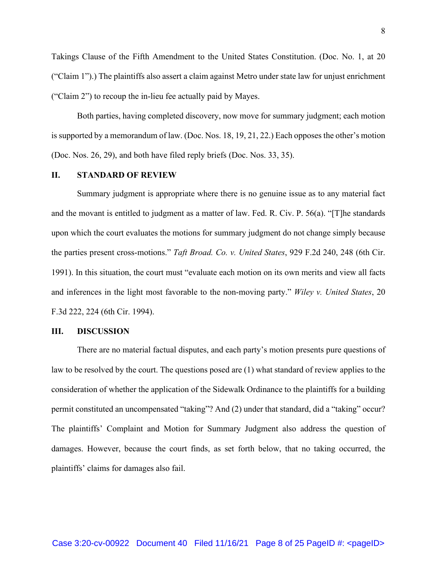Takings Clause of the Fifth Amendment to the United States Constitution. (Doc. No. 1, at 20 ("Claim 1").) The plaintiffs also assert a claim against Metro under state law for unjust enrichment ("Claim 2") to recoup the in-lieu fee actually paid by Mayes.

Both parties, having completed discovery, now move for summary judgment; each motion is supported by a memorandum of law. (Doc. Nos. 18, 19, 21, 22.) Each opposes the other's motion (Doc. Nos. 26, 29), and both have filed reply briefs (Doc. Nos. 33, 35).

## **II. STANDARD OF REVIEW**

Summary judgment is appropriate where there is no genuine issue as to any material fact and the movant is entitled to judgment as a matter of law. Fed. R. Civ. P. 56(a). "[T]he standards upon which the court evaluates the motions for summary judgment do not change simply because the parties present cross-motions." *Taft Broad. Co. v. United States*, 929 F.2d 240, 248 (6th Cir. 1991). In this situation, the court must "evaluate each motion on its own merits and view all facts and inferences in the light most favorable to the non-moving party." *Wiley v. United States*, 20 F.3d 222, 224 (6th Cir. 1994).

## **III. DISCUSSION**

There are no material factual disputes, and each party's motion presents pure questions of law to be resolved by the court. The questions posed are (1) what standard of review applies to the consideration of whether the application of the Sidewalk Ordinance to the plaintiffs for a building permit constituted an uncompensated "taking"? And (2) under that standard, did a "taking" occur? The plaintiffs' Complaint and Motion for Summary Judgment also address the question of damages. However, because the court finds, as set forth below, that no taking occurred, the plaintiffs' claims for damages also fail.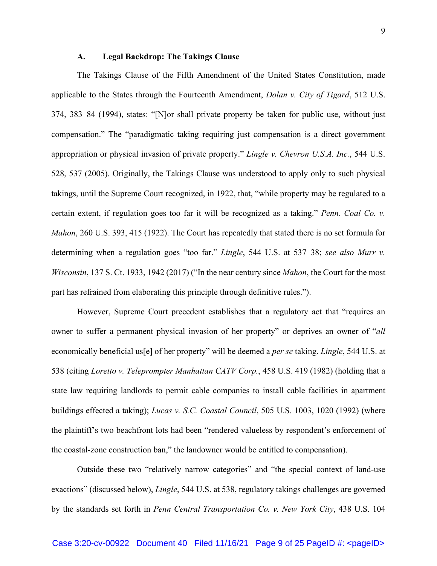### **A. Legal Backdrop: The Takings Clause**

The Takings Clause of the Fifth Amendment of the United States Constitution, made applicable to the States through the Fourteenth Amendment, *Dolan v. City of Tigard*, 512 U.S. 374, 383–84 (1994), states: "[N]or shall private property be taken for public use, without just compensation." The "paradigmatic taking requiring just compensation is a direct government appropriation or physical invasion of private property." *Lingle v. Chevron U.S.A. Inc.*, 544 U.S. 528, 537 (2005). Originally, the Takings Clause was understood to apply only to such physical takings, until the Supreme Court recognized, in 1922, that, "while property may be regulated to a certain extent, if regulation goes too far it will be recognized as a taking." *Penn. Coal Co. v. Mahon*, 260 U.S. 393, 415 (1922). The Court has repeatedly that stated there is no set formula for determining when a regulation goes "too far." *Lingle*, 544 U.S. at 537–38; *see also Murr v. Wisconsin*, 137 S. Ct. 1933, 1942 (2017) ("In the near century since *Mahon*, the Court for the most part has refrained from elaborating this principle through definitive rules.").

However, Supreme Court precedent establishes that a regulatory act that "requires an owner to suffer a permanent physical invasion of her property" or deprives an owner of "*all*  economically beneficial us[e] of her property" will be deemed a *per se* taking. *Lingle*, 544 U.S. at 538 (citing *Loretto v. Teleprompter Manhattan CATV Corp.*, 458 U.S. 419 (1982) (holding that a state law requiring landlords to permit cable companies to install cable facilities in apartment buildings effected a taking); *Lucas v. S.C. Coastal Council*, 505 U.S. 1003, 1020 (1992) (where the plaintiff's two beachfront lots had been "rendered valueless by respondent's enforcement of the coastal-zone construction ban," the landowner would be entitled to compensation).

Outside these two "relatively narrow categories" and "the special context of land-use exactions" (discussed below), *Lingle*, 544 U.S. at 538, regulatory takings challenges are governed by the standards set forth in *Penn Central Transportation Co. v. New York City*, 438 U.S. 104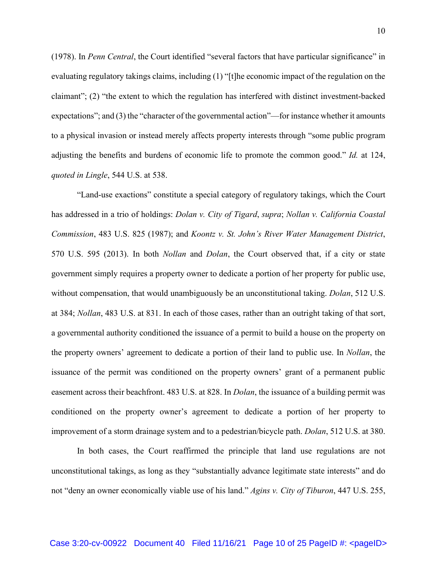(1978). In *Penn Central*, the Court identified "several factors that have particular significance" in evaluating regulatory takings claims, including (1) "[t]he economic impact of the regulation on the claimant"; (2) "the extent to which the regulation has interfered with distinct investment-backed expectations"; and (3) the "character of the governmental action"—for instance whether it amounts to a physical invasion or instead merely affects property interests through "some public program adjusting the benefits and burdens of economic life to promote the common good." *Id.* at 124, *quoted in Lingle*, 544 U.S. at 538.

"Land-use exactions" constitute a special category of regulatory takings, which the Court has addressed in a trio of holdings: *Dolan v. City of Tigard*, *supra*; *Nollan v. California Coastal Commission*, 483 U.S. 825 (1987); and *Koontz v. St. John's River Water Management District*, 570 U.S. 595 (2013). In both *Nollan* and *Dolan*, the Court observed that, if a city or state government simply requires a property owner to dedicate a portion of her property for public use, without compensation, that would unambiguously be an unconstitutional taking. *Dolan*, 512 U.S. at 384; *Nollan*, 483 U.S. at 831. In each of those cases, rather than an outright taking of that sort, a governmental authority conditioned the issuance of a permit to build a house on the property on the property owners' agreement to dedicate a portion of their land to public use. In *Nollan*, the issuance of the permit was conditioned on the property owners' grant of a permanent public easement across their beachfront. 483 U.S. at 828. In *Dolan*, the issuance of a building permit was conditioned on the property owner's agreement to dedicate a portion of her property to improvement of a storm drainage system and to a pedestrian/bicycle path. *Dolan*, 512 U.S. at 380.

In both cases, the Court reaffirmed the principle that land use regulations are not unconstitutional takings, as long as they "substantially advance legitimate state interests" and do not "deny an owner economically viable use of his land." *Agins v. City of Tiburon*, 447 U.S. 255,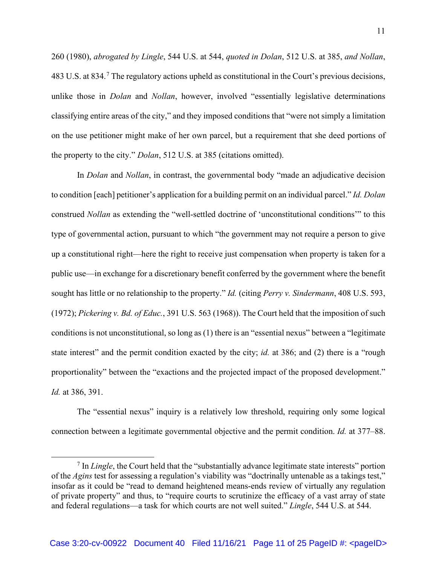260 (1980), *abrogated by Lingle*, 544 U.S. at 544, *quoted in Dolan*, 512 U.S. at 385, *and Nollan*, 483 U.S. at 834.<sup>7</sup> The regulatory actions upheld as constitutional in the Court's previous decisions, unlike those in *Dolan* and *Nollan*, however, involved "essentially legislative determinations classifying entire areas of the city," and they imposed conditions that "were not simply a limitation on the use petitioner might make of her own parcel, but a requirement that she deed portions of the property to the city." *Dolan*, 512 U.S. at 385 (citations omitted).

In *Dolan* and *Nollan*, in contrast, the governmental body "made an adjudicative decision to condition [each] petitioner's application for a building permit on an individual parcel." *Id. Dolan* construed *Nollan* as extending the "well-settled doctrine of 'unconstitutional conditions'" to this type of governmental action, pursuant to which "the government may not require a person to give up a constitutional right—here the right to receive just compensation when property is taken for a public use—in exchange for a discretionary benefit conferred by the government where the benefit sought has little or no relationship to the property." *Id.* (citing *Perry v. Sindermann*, 408 U.S. 593, (1972); *Pickering v. Bd. of Educ.*, 391 U.S. 563 (1968)). The Court held that the imposition of such conditions is not unconstitutional, so long as (1) there is an "essential nexus" between a "legitimate state interest" and the permit condition exacted by the city; *id.* at 386; and (2) there is a "rough proportionality" between the "exactions and the projected impact of the proposed development." *Id.* at 386, 391.

The "essential nexus" inquiry is a relatively low threshold, requiring only some logical connection between a legitimate governmental objective and the permit condition. *Id.* at 377–88.

<sup>&</sup>lt;sup>7</sup> In *Lingle*, the Court held that the "substantially advance legitimate state interests" portion of the *Agins* test for assessing a regulation's viability was "doctrinally untenable as a takings test," insofar as it could be "read to demand heightened means-ends review of virtually any regulation of private property" and thus, to "require courts to scrutinize the efficacy of a vast array of state and federal regulations—a task for which courts are not well suited." *Lingle*, 544 U.S. at 544.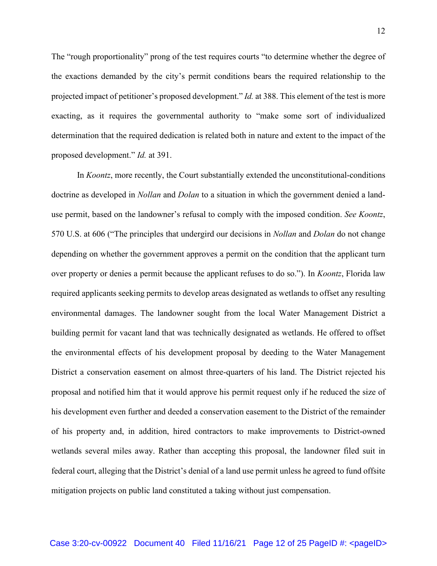The "rough proportionality" prong of the test requires courts "to determine whether the degree of the exactions demanded by the city's permit conditions bears the required relationship to the projected impact of petitioner's proposed development." *Id.* at 388. This element of the test is more exacting, as it requires the governmental authority to "make some sort of individualized determination that the required dedication is related both in nature and extent to the impact of the proposed development." *Id.* at 391.

In *Koontz*, more recently, the Court substantially extended the unconstitutional-conditions doctrine as developed in *Nollan* and *Dolan* to a situation in which the government denied a landuse permit, based on the landowner's refusal to comply with the imposed condition. *See Koontz*, 570 U.S. at 606 ("The principles that undergird our decisions in *Nollan* and *Dolan* do not change depending on whether the government approves a permit on the condition that the applicant turn over property or denies a permit because the applicant refuses to do so."). In *Koontz*, Florida law required applicants seeking permits to develop areas designated as wetlands to offset any resulting environmental damages. The landowner sought from the local Water Management District a building permit for vacant land that was technically designated as wetlands. He offered to offset the environmental effects of his development proposal by deeding to the Water Management District a conservation easement on almost three-quarters of his land. The District rejected his proposal and notified him that it would approve his permit request only if he reduced the size of his development even further and deeded a conservation easement to the District of the remainder of his property and, in addition, hired contractors to make improvements to District-owned wetlands several miles away. Rather than accepting this proposal, the landowner filed suit in federal court, alleging that the District's denial of a land use permit unless he agreed to fund offsite mitigation projects on public land constituted a taking without just compensation.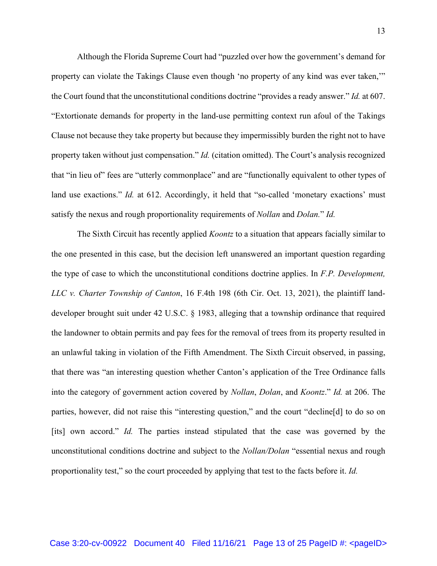Although the Florida Supreme Court had "puzzled over how the government's demand for property can violate the Takings Clause even though 'no property of any kind was ever taken,'" the Court found that the unconstitutional conditions doctrine "provides a ready answer." *Id.* at 607. "Extortionate demands for property in the land-use permitting context run afoul of the Takings Clause not because they take property but because they impermissibly burden the right not to have property taken without just compensation." *Id.* (citation omitted). The Court's analysis recognized that "in lieu of" fees are "utterly commonplace" and are "functionally equivalent to other types of land use exactions." *Id.* at 612. Accordingly, it held that "so-called 'monetary exactions' must satisfy the nexus and rough proportionality requirements of *Nollan* and *Dolan.*" *Id.*

The Sixth Circuit has recently applied *Koontz* to a situation that appears facially similar to the one presented in this case, but the decision left unanswered an important question regarding the type of case to which the unconstitutional conditions doctrine applies. In *F.P. Development, LLC v. Charter Township of Canton*, 16 F.4th 198 (6th Cir. Oct. 13, 2021), the plaintiff landdeveloper brought suit under 42 U.S.C. § 1983, alleging that a township ordinance that required the landowner to obtain permits and pay fees for the removal of trees from its property resulted in an unlawful taking in violation of the Fifth Amendment. The Sixth Circuit observed, in passing, that there was "an interesting question whether Canton's application of the Tree Ordinance falls into the category of government action covered by *Nollan*, *Dolan*, and *Koontz*." *Id.* at 206. The parties, however, did not raise this "interesting question," and the court "decline[d] to do so on [its] own accord." *Id.* The parties instead stipulated that the case was governed by the unconstitutional conditions doctrine and subject to the *Nollan/Dolan* "essential nexus and rough proportionality test," so the court proceeded by applying that test to the facts before it. *Id.*

Case 3:20-cv-00922 Document 40 Filed 11/16/21 Page 13 of 25 PageID #: <pageID>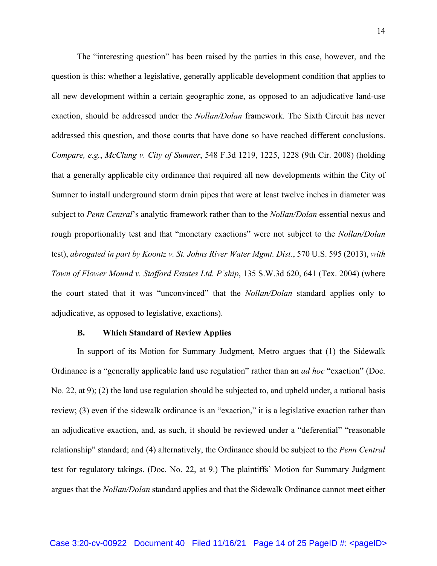The "interesting question" has been raised by the parties in this case, however, and the question is this: whether a legislative, generally applicable development condition that applies to all new development within a certain geographic zone, as opposed to an adjudicative land-use exaction, should be addressed under the *Nollan/Dolan* framework. The Sixth Circuit has never addressed this question, and those courts that have done so have reached different conclusions. *Compare, e.g.*, *McClung v. City of Sumner*, 548 F.3d 1219, 1225, 1228 (9th Cir. 2008) (holding that a generally applicable city ordinance that required all new developments within the City of Sumner to install underground storm drain pipes that were at least twelve inches in diameter was subject to *Penn Central*'s analytic framework rather than to the *Nollan/Dolan* essential nexus and rough proportionality test and that "monetary exactions" were not subject to the *Nollan/Dolan* test), *abrogated in part by Koontz v. St. Johns River Water Mgmt. Dist.*, 570 U.S. 595 (2013), *with Town of Flower Mound v. Stafford Estates Ltd. P'ship*, 135 S.W.3d 620, 641 (Tex. 2004) (where the court stated that it was "unconvinced" that the *Nollan/Dolan* standard applies only to adjudicative, as opposed to legislative, exactions).

#### **B. Which Standard of Review Applies**

In support of its Motion for Summary Judgment, Metro argues that (1) the Sidewalk Ordinance is a "generally applicable land use regulation" rather than an *ad hoc* "exaction" (Doc. No. 22, at 9); (2) the land use regulation should be subjected to, and upheld under, a rational basis review; (3) even if the sidewalk ordinance is an "exaction," it is a legislative exaction rather than an adjudicative exaction, and, as such, it should be reviewed under a "deferential" "reasonable relationship" standard; and (4) alternatively, the Ordinance should be subject to the *Penn Central* test for regulatory takings. (Doc. No. 22, at 9.) The plaintiffs' Motion for Summary Judgment argues that the *Nollan/Dolan* standard applies and that the Sidewalk Ordinance cannot meet either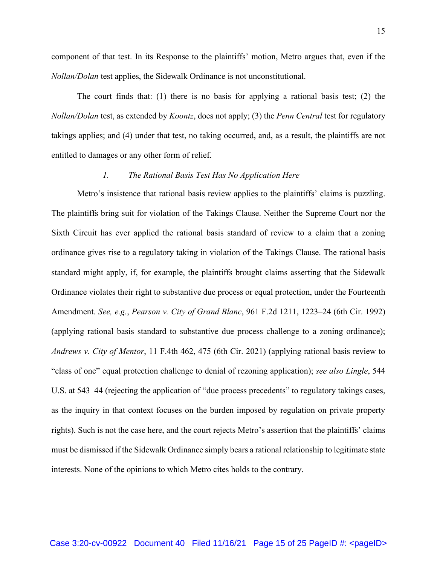component of that test. In its Response to the plaintiffs' motion, Metro argues that, even if the *Nollan/Dolan* test applies, the Sidewalk Ordinance is not unconstitutional.

The court finds that: (1) there is no basis for applying a rational basis test; (2) the *Nollan/Dolan* test, as extended by *Koontz*, does not apply; (3) the *Penn Central* test for regulatory takings applies; and (4) under that test, no taking occurred, and, as a result, the plaintiffs are not entitled to damages or any other form of relief.

## *1. The Rational Basis Test Has No Application Here*

Metro's insistence that rational basis review applies to the plaintiffs' claims is puzzling. The plaintiffs bring suit for violation of the Takings Clause. Neither the Supreme Court nor the Sixth Circuit has ever applied the rational basis standard of review to a claim that a zoning ordinance gives rise to a regulatory taking in violation of the Takings Clause. The rational basis standard might apply, if, for example, the plaintiffs brought claims asserting that the Sidewalk Ordinance violates their right to substantive due process or equal protection, under the Fourteenth Amendment. *See, e.g.*, *Pearson v. City of Grand Blanc*, 961 F.2d 1211, 1223–24 (6th Cir. 1992) (applying rational basis standard to substantive due process challenge to a zoning ordinance); *Andrews v. City of Mentor*, 11 F.4th 462, 475 (6th Cir. 2021) (applying rational basis review to "class of one" equal protection challenge to denial of rezoning application); *see also Lingle*, 544 U.S. at 543–44 (rejecting the application of "due process precedents" to regulatory takings cases, as the inquiry in that context focuses on the burden imposed by regulation on private property rights). Such is not the case here, and the court rejects Metro's assertion that the plaintiffs' claims must be dismissed if the Sidewalk Ordinance simply bears a rational relationship to legitimate state interests. None of the opinions to which Metro cites holds to the contrary.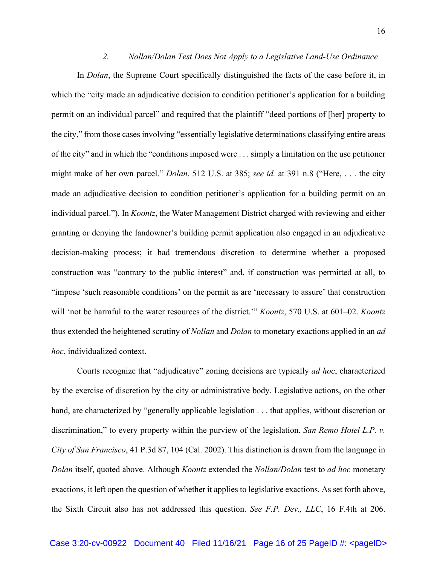### *2. Nollan/Dolan Test Does Not Apply to a Legislative Land-Use Ordinance*

In *Dolan*, the Supreme Court specifically distinguished the facts of the case before it, in which the "city made an adjudicative decision to condition petitioner's application for a building permit on an individual parcel" and required that the plaintiff "deed portions of [her] property to the city," from those cases involving "essentially legislative determinations classifying entire areas of the city" and in which the "conditions imposed were . . . simply a limitation on the use petitioner might make of her own parcel." *Dolan*, 512 U.S. at 385; *see id.* at 391 n.8 ("Here, . . . the city made an adjudicative decision to condition petitioner's application for a building permit on an individual parcel."). In *Koontz*, the Water Management District charged with reviewing and either granting or denying the landowner's building permit application also engaged in an adjudicative decision-making process; it had tremendous discretion to determine whether a proposed construction was "contrary to the public interest" and, if construction was permitted at all, to "impose 'such reasonable conditions' on the permit as are 'necessary to assure' that construction will 'not be harmful to the water resources of the district.'" *Koontz*, 570 U.S. at 601–02. *Koontz* thus extended the heightened scrutiny of *Nollan* and *Dolan* to monetary exactions applied in an *ad hoc*, individualized context.

Courts recognize that "adjudicative" zoning decisions are typically *ad hoc*, characterized by the exercise of discretion by the city or administrative body. Legislative actions, on the other hand, are characterized by "generally applicable legislation . . . that applies, without discretion or discrimination," to every property within the purview of the legislation. *San Remo Hotel L.P. v. City of San Francisco*, 41 P.3d 87, 104 (Cal. 2002). This distinction is drawn from the language in *Dolan* itself, quoted above. Although *Koontz* extended the *Nollan/Dolan* test to *ad hoc* monetary exactions, it left open the question of whether it applies to legislative exactions. As set forth above, the Sixth Circuit also has not addressed this question. *See F.P. Dev., LLC*, 16 F.4th at 206.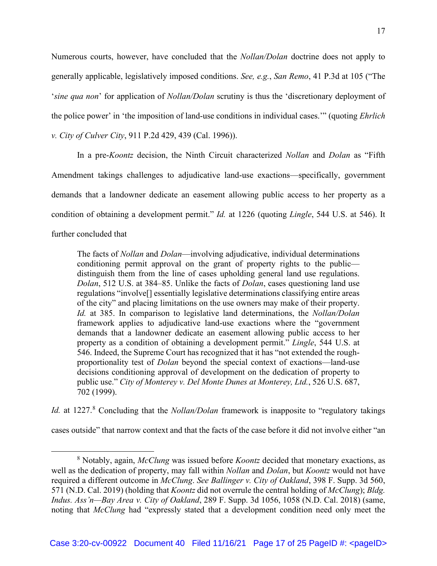Numerous courts, however, have concluded that the *Nollan/Dolan* doctrine does not apply to generally applicable, legislatively imposed conditions. *See, e.g.*, *San Remo*, 41 P.3d at 105 ("The '*sine qua non*' for application of *Nollan/Dolan* scrutiny is thus the 'discretionary deployment of the police power' in 'the imposition of land-use conditions in individual cases.'" (quoting *Ehrlich v. City of Culver City*, 911 P.2d 429, 439 (Cal. 1996)).

In a pre-*Koontz* decision, the Ninth Circuit characterized *Nollan* and *Dolan* as "Fifth Amendment takings challenges to adjudicative land-use exactions—specifically, government demands that a landowner dedicate an easement allowing public access to her property as a condition of obtaining a development permit." *Id.* at 1226 (quoting *Lingle*, 544 U.S. at 546). It further concluded that

The facts of *Nollan* and *Dolan*—involving adjudicative, individual determinations conditioning permit approval on the grant of property rights to the public distinguish them from the line of cases upholding general land use regulations. *Dolan*, 512 U.S. at 384–85. Unlike the facts of *Dolan*, cases questioning land use regulations "involve[] essentially legislative determinations classifying entire areas of the city" and placing limitations on the use owners may make of their property. *Id.* at 385. In comparison to legislative land determinations, the *Nollan/Dolan* framework applies to adjudicative land-use exactions where the "government demands that a landowner dedicate an easement allowing public access to her property as a condition of obtaining a development permit." *Lingle*, 544 U.S. at 546. Indeed, the Supreme Court has recognized that it has "not extended the roughproportionality test of *Dolan* beyond the special context of exactions—land-use decisions conditioning approval of development on the dedication of property to public use." *City of Monterey v. Del Monte Dunes at Monterey, Ltd.*, 526 U.S. 687, 702 (1999).

*Id.* at 1227.<sup>8</sup> Concluding that the *Nollan/Dolan* framework is inapposite to "regulatory takings"

cases outside" that narrow context and that the facts of the case before it did not involve either "an

<sup>8</sup> Notably, again, *McClung* was issued before *Koontz* decided that monetary exactions, as well as the dedication of property, may fall within *Nollan* and *Dolan*, but *Koontz* would not have required a different outcome in *McClung*. *See Ballinger v. City of Oakland*, 398 F. Supp. 3d 560, 571 (N.D. Cal. 2019) (holding that *Koontz* did not overrule the central holding of *McClung*); *Bldg. Indus. Ass'n—Bay Area v. City of Oakland*, 289 F. Supp. 3d 1056, 1058 (N.D. Cal. 2018) (same, noting that *McClung* had "expressly stated that a development condition need only meet the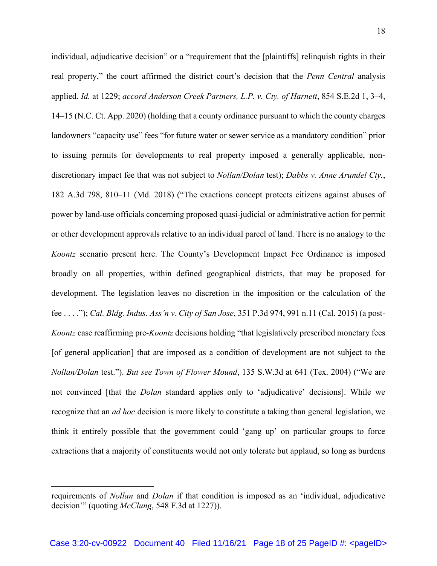individual, adjudicative decision" or a "requirement that the [plaintiffs] relinquish rights in their real property," the court affirmed the district court's decision that the *Penn Central* analysis applied. *Id.* at 1229; *accord Anderson Creek Partners, L.P. v. Cty. of Harnett*, 854 S.E.2d 1, 3–4, 14–15 (N.C. Ct. App. 2020) (holding that a county ordinance pursuant to which the county charges landowners "capacity use" fees "for future water or sewer service as a mandatory condition" prior to issuing permits for developments to real property imposed a generally applicable, nondiscretionary impact fee that was not subject to *Nollan/Dolan* test); *Dabbs v. Anne Arundel Cty.*, 182 A.3d 798, 810–11 (Md. 2018) ("The exactions concept protects citizens against abuses of power by land-use officials concerning proposed quasi-judicial or administrative action for permit or other development approvals relative to an individual parcel of land. There is no analogy to the *Koontz* scenario present here. The County's Development Impact Fee Ordinance is imposed broadly on all properties, within defined geographical districts, that may be proposed for development. The legislation leaves no discretion in the imposition or the calculation of the fee . . . ."); *Cal. Bldg. Indus. Ass'n v. City of San Jose*, 351 P.3d 974, 991 n.11 (Cal. 2015) (a post-*Koontz* case reaffirming pre-*Koontz* decisions holding "that legislatively prescribed monetary fees [of general application] that are imposed as a condition of development are not subject to the *Nollan/Dolan* test."). *But see Town of Flower Mound*, 135 S.W.3d at 641 (Tex. 2004) ("We are not convinced [that the *Dolan* standard applies only to 'adjudicative' decisions]. While we recognize that an *ad hoc* decision is more likely to constitute a taking than general legislation, we think it entirely possible that the government could 'gang up' on particular groups to force extractions that a majority of constituents would not only tolerate but applaud, so long as burdens

requirements of *Nollan* and *Dolan* if that condition is imposed as an 'individual, adjudicative decision'" (quoting *McClung*, 548 F.3d at 1227)).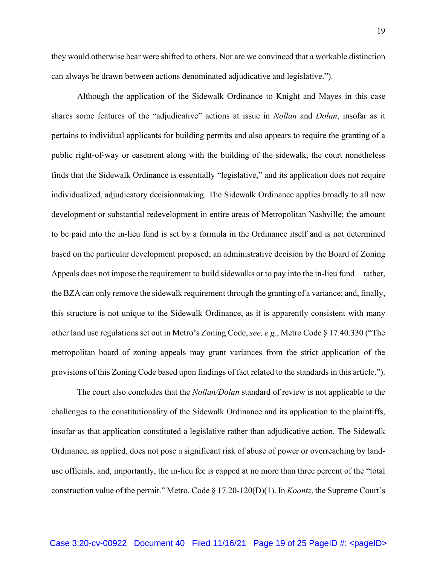they would otherwise bear were shifted to others. Nor are we convinced that a workable distinction can always be drawn between actions denominated adjudicative and legislative.").

Although the application of the Sidewalk Ordinance to Knight and Mayes in this case shares some features of the "adjudicative" actions at issue in *Nollan* and *Dolan*, insofar as it pertains to individual applicants for building permits and also appears to require the granting of a public right-of-way or easement along with the building of the sidewalk, the court nonetheless finds that the Sidewalk Ordinance is essentially "legislative," and its application does not require individualized, adjudicatory decisionmaking. The Sidewalk Ordinance applies broadly to all new development or substantial redevelopment in entire areas of Metropolitan Nashville; the amount to be paid into the in-lieu fund is set by a formula in the Ordinance itself and is not determined based on the particular development proposed; an administrative decision by the Board of Zoning Appeals does not impose the requirement to build sidewalks or to pay into the in-lieu fund—rather, the BZA can only remove the sidewalk requirement through the granting of a variance; and, finally, this structure is not unique to the Sidewalk Ordinance, as it is apparently consistent with many other land use regulations set out in Metro's Zoning Code, *see, e.g.*, Metro Code § 17.40.330 ("The metropolitan board of zoning appeals may grant variances from the strict application of the provisions of this Zoning Code based upon findings of fact related to the standards in this article.").

The court also concludes that the *Nollan/Dolan* standard of review is not applicable to the challenges to the constitutionality of the Sidewalk Ordinance and its application to the plaintiffs, insofar as that application constituted a legislative rather than adjudicative action. The Sidewalk Ordinance, as applied, does not pose a significant risk of abuse of power or overreaching by landuse officials, and, importantly, the in-lieu fee is capped at no more than three percent of the "total construction value of the permit." Metro. Code § 17.20-120(D)(1). In *Koontz*, the Supreme Court's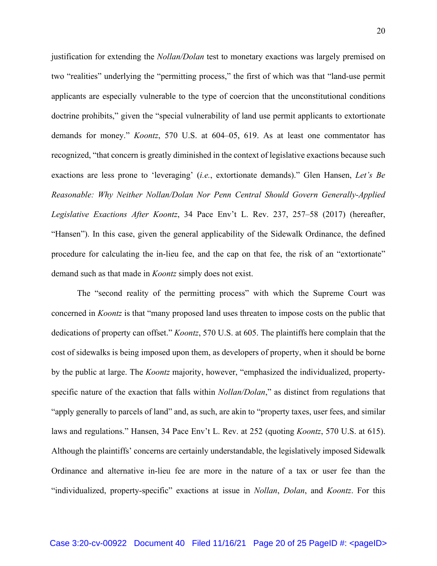justification for extending the *Nollan/Dolan* test to monetary exactions was largely premised on two "realities" underlying the "permitting process," the first of which was that "land-use permit applicants are especially vulnerable to the type of coercion that the unconstitutional conditions doctrine prohibits," given the "special vulnerability of land use permit applicants to extortionate demands for money." *Koontz*, 570 U.S. at 604–05, 619. As at least one commentator has recognized, "that concern is greatly diminished in the context of legislative exactions because such exactions are less prone to 'leveraging' (*i.e.*, extortionate demands)." Glen Hansen, *Let's Be Reasonable: Why Neither Nollan/Dolan Nor Penn Central Should Govern Generally-Applied Legislative Exactions After Koontz*, 34 Pace Env't L. Rev. 237, 257–58 (2017) (hereafter, "Hansen"). In this case, given the general applicability of the Sidewalk Ordinance, the defined procedure for calculating the in-lieu fee, and the cap on that fee, the risk of an "extortionate" demand such as that made in *Koontz* simply does not exist.

The "second reality of the permitting process" with which the Supreme Court was concerned in *Koontz* is that "many proposed land uses threaten to impose costs on the public that dedications of property can offset." *Koontz*, 570 U.S. at 605. The plaintiffs here complain that the cost of sidewalks is being imposed upon them, as developers of property, when it should be borne by the public at large. The *Koontz* majority, however, "emphasized the individualized, propertyspecific nature of the exaction that falls within *Nollan/Dolan*," as distinct from regulations that "apply generally to parcels of land" and, as such, are akin to "property taxes, user fees, and similar laws and regulations." Hansen, 34 Pace Env't L. Rev. at 252 (quoting *Koontz*, 570 U.S. at 615). Although the plaintiffs' concerns are certainly understandable, the legislatively imposed Sidewalk Ordinance and alternative in-lieu fee are more in the nature of a tax or user fee than the "individualized, property-specific" exactions at issue in *Nollan*, *Dolan*, and *Koontz*. For this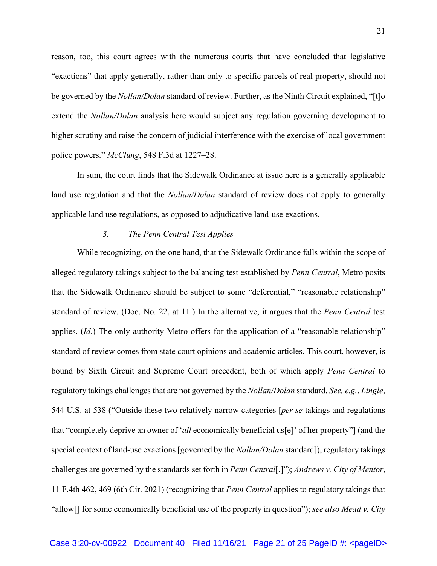reason, too, this court agrees with the numerous courts that have concluded that legislative "exactions" that apply generally, rather than only to specific parcels of real property, should not be governed by the *Nollan/Dolan* standard of review. Further, as the Ninth Circuit explained, "[t]o extend the *Nollan/Dolan* analysis here would subject any regulation governing development to higher scrutiny and raise the concern of judicial interference with the exercise of local government police powers." *McClung*, 548 F.3d at 1227–28.

In sum, the court finds that the Sidewalk Ordinance at issue here is a generally applicable land use regulation and that the *Nollan/Dolan* standard of review does not apply to generally applicable land use regulations, as opposed to adjudicative land-use exactions.

## *3. The Penn Central Test Applies*

While recognizing, on the one hand, that the Sidewalk Ordinance falls within the scope of alleged regulatory takings subject to the balancing test established by *Penn Central*, Metro posits that the Sidewalk Ordinance should be subject to some "deferential," "reasonable relationship" standard of review. (Doc. No. 22, at 11.) In the alternative, it argues that the *Penn Central* test applies. *(Id.)* The only authority Metro offers for the application of a "reasonable relationship" standard of review comes from state court opinions and academic articles. This court, however, is bound by Sixth Circuit and Supreme Court precedent, both of which apply *Penn Central* to regulatory takings challenges that are not governed by the *Nollan/Dolan* standard. *See, e.g.*, *Lingle*, 544 U.S. at 538 ("Outside these two relatively narrow categories [*per se* takings and regulations that "completely deprive an owner of '*all* economically beneficial us[e]' of her property"] (and the special context of land-use exactions [governed by the *Nollan/Dolan* standard]), regulatory takings challenges are governed by the standards set forth in *Penn Central*[.]"); *Andrews v. City of Mentor*, 11 F.4th 462, 469 (6th Cir. 2021) (recognizing that *Penn Central* applies to regulatory takings that "allow[] for some economically beneficial use of the property in question"); *see also Mead v. City*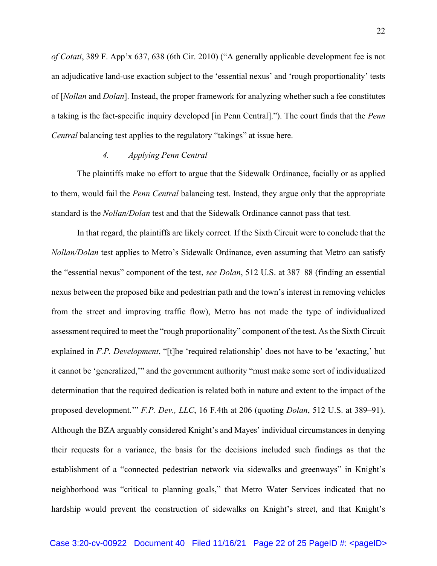*of Cotati*, 389 F. App'x 637, 638 (6th Cir. 2010) ("A generally applicable development fee is not an adjudicative land-use exaction subject to the 'essential nexus' and 'rough proportionality' tests of [*Nollan* and *Dolan*]. Instead, the proper framework for analyzing whether such a fee constitutes a taking is the fact-specific inquiry developed [in Penn Central]."). The court finds that the *Penn Central* balancing test applies to the regulatory "takings" at issue here.

### *4. Applying Penn Central*

The plaintiffs make no effort to argue that the Sidewalk Ordinance, facially or as applied to them, would fail the *Penn Central* balancing test. Instead, they argue only that the appropriate standard is the *Nollan/Dolan* test and that the Sidewalk Ordinance cannot pass that test.

In that regard, the plaintiffs are likely correct. If the Sixth Circuit were to conclude that the *Nollan/Dolan* test applies to Metro's Sidewalk Ordinance, even assuming that Metro can satisfy the "essential nexus" component of the test, *see Dolan*, 512 U.S. at 387–88 (finding an essential nexus between the proposed bike and pedestrian path and the town's interest in removing vehicles from the street and improving traffic flow), Metro has not made the type of individualized assessment required to meet the "rough proportionality" component of the test. As the Sixth Circuit explained in *F.P. Development*, "[t]he 'required relationship' does not have to be 'exacting,' but it cannot be 'generalized,'" and the government authority "must make some sort of individualized determination that the required dedication is related both in nature and extent to the impact of the proposed development.'" *F.P. Dev., LLC*, 16 F.4th at 206 (quoting *Dolan*, 512 U.S. at 389–91). Although the BZA arguably considered Knight's and Mayes' individual circumstances in denying their requests for a variance, the basis for the decisions included such findings as that the establishment of a "connected pedestrian network via sidewalks and greenways" in Knight's neighborhood was "critical to planning goals," that Metro Water Services indicated that no hardship would prevent the construction of sidewalks on Knight's street, and that Knight's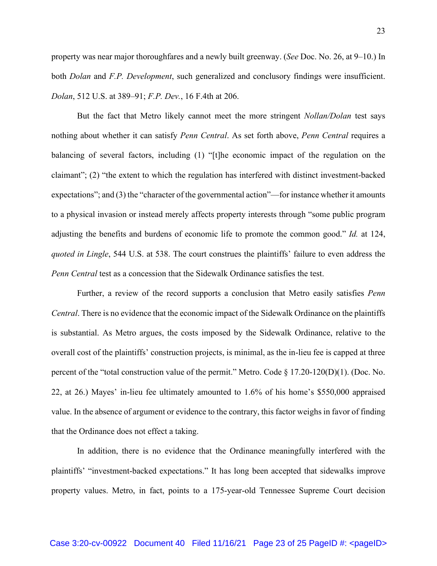both *Dolan* and *F.P. Development*, such generalized and conclusory findings were insufficient. *Dolan*, 512 U.S. at 389–91; *F.P. Dev.*, 16 F.4th at 206. But the fact that Metro likely cannot meet the more stringent *Nollan/Dolan* test says

property was near major thoroughfares and a newly built greenway. (*See* Doc. No. 26, at 9–10.) In

nothing about whether it can satisfy *Penn Central*. As set forth above, *Penn Central* requires a balancing of several factors, including (1) "[t]he economic impact of the regulation on the claimant"; (2) "the extent to which the regulation has interfered with distinct investment-backed expectations"; and (3) the "character of the governmental action"—for instance whether it amounts to a physical invasion or instead merely affects property interests through "some public program adjusting the benefits and burdens of economic life to promote the common good." *Id.* at 124, *quoted in Lingle*, 544 U.S. at 538. The court construes the plaintiffs' failure to even address the *Penn Central* test as a concession that the Sidewalk Ordinance satisfies the test.

Further, a review of the record supports a conclusion that Metro easily satisfies *Penn Central*. There is no evidence that the economic impact of the Sidewalk Ordinance on the plaintiffs is substantial. As Metro argues, the costs imposed by the Sidewalk Ordinance, relative to the overall cost of the plaintiffs' construction projects, is minimal, as the in-lieu fee is capped at three percent of the "total construction value of the permit." Metro. Code § 17.20-120(D)(1). (Doc. No. 22, at 26.) Mayes' in-lieu fee ultimately amounted to 1.6% of his home's \$550,000 appraised value. In the absence of argument or evidence to the contrary, this factor weighs in favor of finding that the Ordinance does not effect a taking.

In addition, there is no evidence that the Ordinance meaningfully interfered with the plaintiffs' "investment-backed expectations." It has long been accepted that sidewalks improve property values. Metro, in fact, points to a 175-year-old Tennessee Supreme Court decision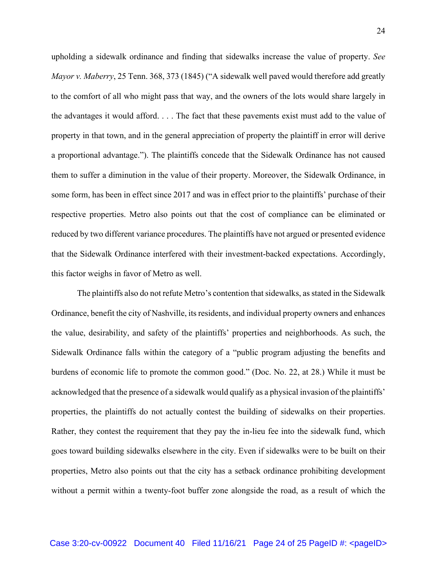upholding a sidewalk ordinance and finding that sidewalks increase the value of property. *See Mayor v. Maberry*, 25 Tenn. 368, 373 (1845) ("A sidewalk well paved would therefore add greatly to the comfort of all who might pass that way, and the owners of the lots would share largely in the advantages it would afford. . . . The fact that these pavements exist must add to the value of property in that town, and in the general appreciation of property the plaintiff in error will derive a proportional advantage."). The plaintiffs concede that the Sidewalk Ordinance has not caused them to suffer a diminution in the value of their property. Moreover, the Sidewalk Ordinance, in some form, has been in effect since 2017 and was in effect prior to the plaintiffs' purchase of their respective properties. Metro also points out that the cost of compliance can be eliminated or reduced by two different variance procedures. The plaintiffs have not argued or presented evidence that the Sidewalk Ordinance interfered with their investment-backed expectations. Accordingly, this factor weighs in favor of Metro as well.

The plaintiffs also do not refute Metro's contention that sidewalks, as stated in the Sidewalk Ordinance, benefit the city of Nashville, its residents, and individual property owners and enhances the value, desirability, and safety of the plaintiffs' properties and neighborhoods. As such, the Sidewalk Ordinance falls within the category of a "public program adjusting the benefits and burdens of economic life to promote the common good." (Doc. No. 22, at 28.) While it must be acknowledged that the presence of a sidewalk would qualify as a physical invasion of the plaintiffs' properties, the plaintiffs do not actually contest the building of sidewalks on their properties. Rather, they contest the requirement that they pay the in-lieu fee into the sidewalk fund, which goes toward building sidewalks elsewhere in the city. Even if sidewalks were to be built on their properties, Metro also points out that the city has a setback ordinance prohibiting development without a permit within a twenty-foot buffer zone alongside the road, as a result of which the